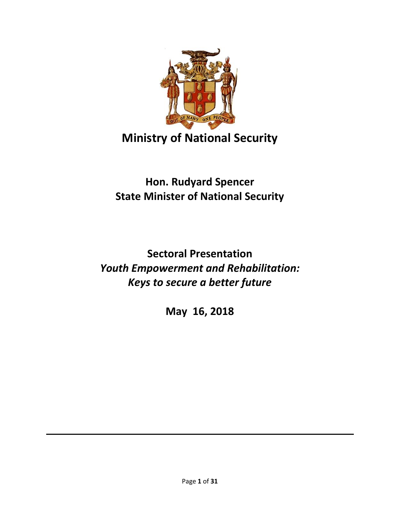

# **Ministry of National Security**

# **Hon. Rudyard Spencer State Minister of National Security**

# **Sectoral Presentation** *Youth Empowerment and Rehabilitation: Keys to secure a better future*

**May 16, 2018**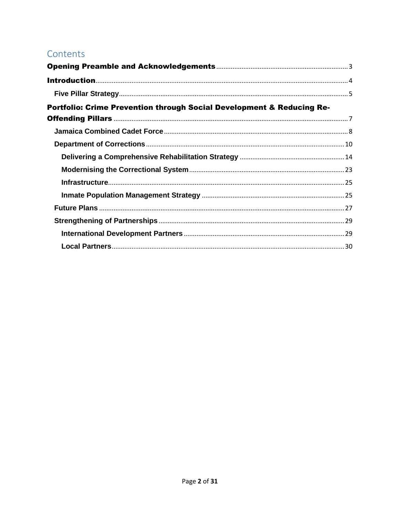#### Contents

| Portfolio: Crime Prevention through Social Development & Reducing Re- |  |
|-----------------------------------------------------------------------|--|
|                                                                       |  |
|                                                                       |  |
|                                                                       |  |
|                                                                       |  |
|                                                                       |  |
|                                                                       |  |
|                                                                       |  |
|                                                                       |  |
|                                                                       |  |
|                                                                       |  |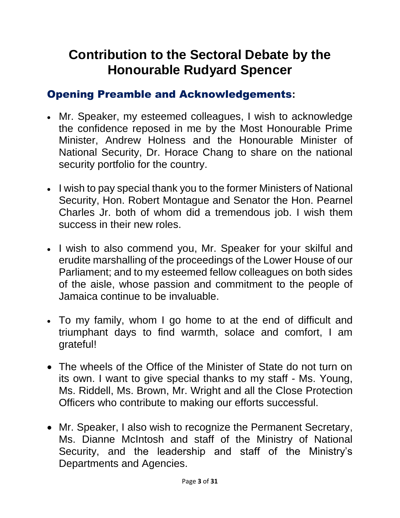# **Contribution to the Sectoral Debate by the Honourable Rudyard Spencer**

### <span id="page-2-0"></span>Opening Preamble and Acknowledgements**:**

- Mr. Speaker, my esteemed colleagues, I wish to acknowledge the confidence reposed in me by the Most Honourable Prime Minister, Andrew Holness and the Honourable Minister of National Security, Dr. Horace Chang to share on the national security portfolio for the country.
- I wish to pay special thank you to the former Ministers of National Security, Hon. Robert Montague and Senator the Hon. Pearnel Charles Jr. both of whom did a tremendous job. I wish them success in their new roles.
- I wish to also commend you, Mr. Speaker for your skilful and erudite marshalling of the proceedings of the Lower House of our Parliament; and to my esteemed fellow colleagues on both sides of the aisle, whose passion and commitment to the people of Jamaica continue to be invaluable.
- To my family, whom I go home to at the end of difficult and triumphant days to find warmth, solace and comfort, I am grateful!
- The wheels of the Office of the Minister of State do not turn on its own. I want to give special thanks to my staff - Ms. Young, Ms. Riddell, Ms. Brown, Mr. Wright and all the Close Protection Officers who contribute to making our efforts successful.
- Mr. Speaker, I also wish to recognize the Permanent Secretary, Ms. Dianne McIntosh and staff of the Ministry of National Security, and the leadership and staff of the Ministry's Departments and Agencies.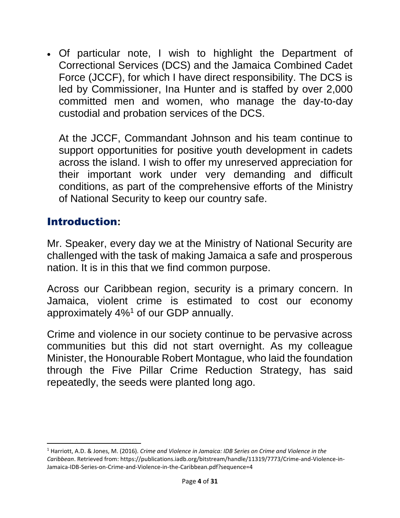Of particular note, I wish to highlight the Department of Correctional Services (DCS) and the Jamaica Combined Cadet Force (JCCF), for which I have direct responsibility. The DCS is led by Commissioner, Ina Hunter and is staffed by over 2,000 committed men and women, who manage the day-to-day custodial and probation services of the DCS.

At the JCCF, Commandant Johnson and his team continue to support opportunities for positive youth development in cadets across the island. I wish to offer my unreserved appreciation for their important work under very demanding and difficult conditions, as part of the comprehensive efforts of the Ministry of National Security to keep our country safe.

#### <span id="page-3-0"></span>Introduction**:**

 $\overline{\phantom{a}}$ 

Mr. Speaker, every day we at the Ministry of National Security are challenged with the task of making Jamaica a safe and prosperous nation. It is in this that we find common purpose.

Across our Caribbean region, security is a primary concern. In Jamaica, violent crime is estimated to cost our economy approximately 4%<sup>1</sup> of our GDP annually.

Crime and violence in our society continue to be pervasive across communities but this did not start overnight. As my colleague Minister, the Honourable Robert Montague, who laid the foundation through the Five Pillar Crime Reduction Strategy, has said repeatedly, the seeds were planted long ago.

<sup>1</sup> Harriott, A.D. & Jones, M. (2016). *Crime and Violence in Jamaica: IDB Series on Crime and Violence in the Caribbean*. Retrieved from: https://publications.iadb.org/bitstream/handle/11319/7773/Crime-and-Violence-in-Jamaica-IDB-Series-on-Crime-and-Violence-in-the-Caribbean.pdf?sequence=4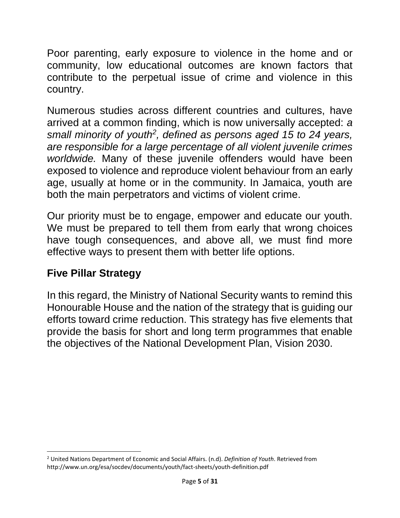Poor parenting, early exposure to violence in the home and or community, low educational outcomes are known factors that contribute to the perpetual issue of crime and violence in this country.

Numerous studies across different countries and cultures, have arrived at a common finding, which is now universally accepted: *a small minority of youth<sup>2</sup> , defined as persons aged 15 to 24 years, are responsible for a large percentage of all violent juvenile crimes worldwide.* Many of these juvenile offenders would have been exposed to violence and reproduce violent behaviour from an early age, usually at home or in the community. In Jamaica, youth are both the main perpetrators and victims of violent crime.

Our priority must be to engage, empower and educate our youth. We must be prepared to tell them from early that wrong choices have tough consequences, and above all, we must find more effective ways to present them with better life options.

#### <span id="page-4-0"></span>**Five Pillar Strategy**

In this regard, the Ministry of National Security wants to remind this Honourable House and the nation of the strategy that is guiding our efforts toward crime reduction. This strategy has five elements that provide the basis for short and long term programmes that enable the objectives of the National Development Plan, Vision 2030.

l <sup>2</sup> United Nations Department of Economic and Social Affairs. (n.d). *Definition of Youth*. Retrieved from http://www.un.org/esa/socdev/documents/youth/fact-sheets/youth-definition.pdf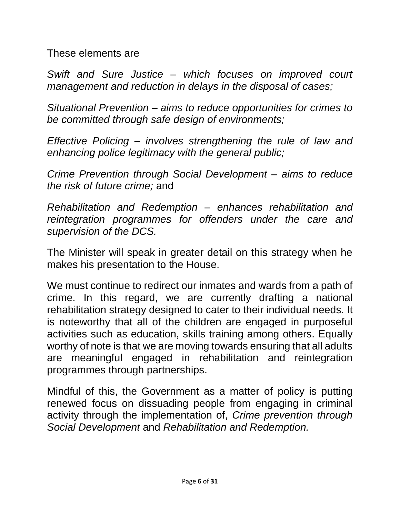These elements are

*Swift and Sure Justice – which focuses on improved court management and reduction in delays in the disposal of cases;*

*Situational Prevention – aims to reduce opportunities for crimes to be committed through safe design of environments;*

*Effective Policing – involves strengthening the rule of law and enhancing police legitimacy with the general public;*

*Crime Prevention through Social Development – aims to reduce the risk of future crime;* and

*Rehabilitation and Redemption – enhances rehabilitation and reintegration programmes for offenders under the care and supervision of the DCS.*

The Minister will speak in greater detail on this strategy when he makes his presentation to the House.

We must continue to redirect our inmates and wards from a path of crime. In this regard, we are currently drafting a national rehabilitation strategy designed to cater to their individual needs. It is noteworthy that all of the children are engaged in purposeful activities such as education, skills training among others. Equally worthy of note is that we are moving towards ensuring that all adults are meaningful engaged in rehabilitation and reintegration programmes through partnerships.

Mindful of this, the Government as a matter of policy is putting renewed focus on dissuading people from engaging in criminal activity through the implementation of, *Crime prevention through Social Development* and *Rehabilitation and Redemption.*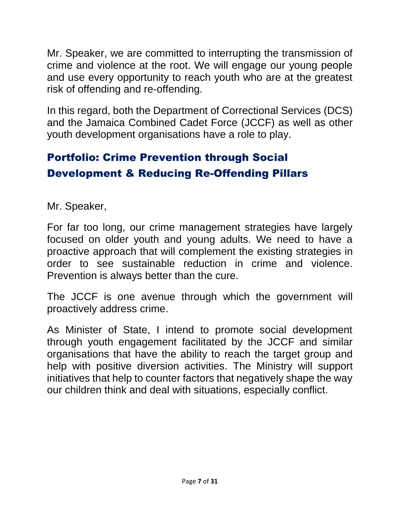Mr. Speaker, we are committed to interrupting the transmission of crime and violence at the root. We will engage our young people and use every opportunity to reach youth who are at the greatest risk of offending and re-offending.

In this regard, both the Department of Correctional Services (DCS) and the Jamaica Combined Cadet Force (JCCF) as well as other youth development organisations have a role to play.

# <span id="page-6-0"></span>Portfolio: Crime Prevention through Social Development & Reducing Re-Offending Pillars

Mr. Speaker,

For far too long, our crime management strategies have largely focused on older youth and young adults. We need to have a proactive approach that will complement the existing strategies in order to see sustainable reduction in crime and violence. Prevention is always better than the cure.

The JCCF is one avenue through which the government will proactively address crime.

As Minister of State, I intend to promote social development through youth engagement facilitated by the JCCF and similar organisations that have the ability to reach the target group and help with positive diversion activities. The Ministry will support initiatives that help to counter factors that negatively shape the way our children think and deal with situations, especially conflict.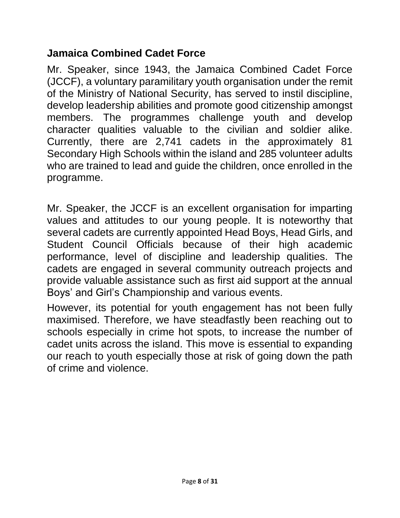#### <span id="page-7-0"></span>**Jamaica Combined Cadet Force**

Mr. Speaker, since 1943, the Jamaica Combined Cadet Force (JCCF), a voluntary paramilitary youth organisation under the remit of the Ministry of National Security, has served to instil discipline, develop leadership abilities and promote good citizenship amongst members. The programmes challenge youth and develop character qualities valuable to the civilian and soldier alike. Currently, there are 2,741 cadets in the approximately 81 Secondary High Schools within the island and 285 volunteer adults who are trained to lead and guide the children, once enrolled in the programme.

Mr. Speaker, the JCCF is an excellent organisation for imparting values and attitudes to our young people. It is noteworthy that several cadets are currently appointed Head Boys, Head Girls, and Student Council Officials because of their high academic performance, level of discipline and leadership qualities. The cadets are engaged in several community outreach projects and provide valuable assistance such as first aid support at the annual Boys' and Girl's Championship and various events.

However, its potential for youth engagement has not been fully maximised. Therefore, we have steadfastly been reaching out to schools especially in crime hot spots, to increase the number of cadet units across the island. This move is essential to expanding our reach to youth especially those at risk of going down the path of crime and violence.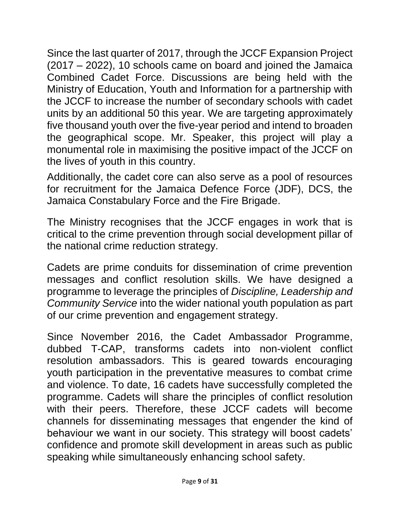Since the last quarter of 2017, through the JCCF Expansion Project (2017 – 2022), 10 schools came on board and joined the Jamaica Combined Cadet Force. Discussions are being held with the Ministry of Education, Youth and Information for a partnership with the JCCF to increase the number of secondary schools with cadet units by an additional 50 this year. We are targeting approximately five thousand youth over the five-year period and intend to broaden the geographical scope. Mr. Speaker, this project will play a monumental role in maximising the positive impact of the JCCF on the lives of youth in this country.

Additionally, the cadet core can also serve as a pool of resources for recruitment for the Jamaica Defence Force (JDF), DCS, the Jamaica Constabulary Force and the Fire Brigade.

The Ministry recognises that the JCCF engages in work that is critical to the crime prevention through social development pillar of the national crime reduction strategy.

Cadets are prime conduits for dissemination of crime prevention messages and conflict resolution skills. We have designed a programme to leverage the principles of *Discipline, Leadership and Community Service* into the wider national youth population as part of our crime prevention and engagement strategy.

Since November 2016, the Cadet Ambassador Programme, dubbed T-CAP, transforms cadets into non-violent conflict resolution ambassadors. This is geared towards encouraging youth participation in the preventative measures to combat crime and violence. To date, 16 cadets have successfully completed the programme. Cadets will share the principles of conflict resolution with their peers. Therefore, these JCCF cadets will become channels for disseminating messages that engender the kind of behaviour we want in our society. This strategy will boost cadets' confidence and promote skill development in areas such as public speaking while simultaneously enhancing school safety.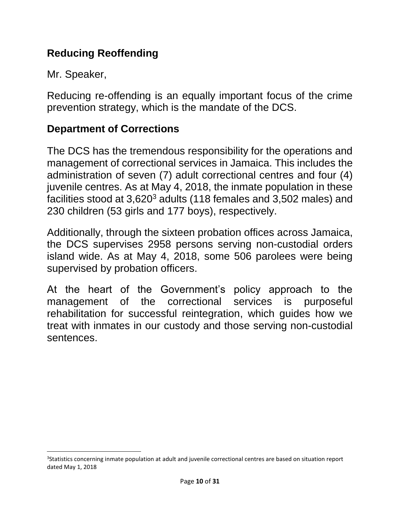## **Reducing Reoffending**

Mr. Speaker,

l

Reducing re-offending is an equally important focus of the crime prevention strategy, which is the mandate of the DCS.

#### <span id="page-9-0"></span>**Department of Corrections**

The DCS has the tremendous responsibility for the operations and management of correctional services in Jamaica. This includes the administration of seven (7) adult correctional centres and four (4) juvenile centres. As at May 4, 2018, the inmate population in these facilities stood at 3,620<sup>3</sup> adults (118 females and 3,502 males) and 230 children (53 girls and 177 boys), respectively.

Additionally, through the sixteen probation offices across Jamaica, the DCS supervises 2958 persons serving non-custodial orders island wide. As at May 4, 2018, some 506 parolees were being supervised by probation officers.

At the heart of the Government's policy approach to the management of the correctional services is purposeful rehabilitation for successful reintegration, which guides how we treat with inmates in our custody and those serving non-custodial sentences.

<sup>&</sup>lt;sup>3</sup>Statistics concerning inmate population at adult and juvenile correctional centres are based on situation report dated May 1, 2018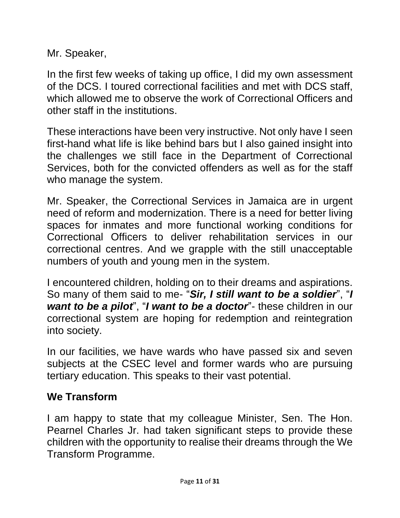Mr. Speaker,

In the first few weeks of taking up office, I did my own assessment of the DCS. I toured correctional facilities and met with DCS staff, which allowed me to observe the work of Correctional Officers and other staff in the institutions.

These interactions have been very instructive. Not only have I seen first-hand what life is like behind bars but I also gained insight into the challenges we still face in the Department of Correctional Services, both for the convicted offenders as well as for the staff who manage the system.

Mr. Speaker, the Correctional Services in Jamaica are in urgent need of reform and modernization. There is a need for better living spaces for inmates and more functional working conditions for Correctional Officers to deliver rehabilitation services in our correctional centres. And we grapple with the still unacceptable numbers of youth and young men in the system.

I encountered children, holding on to their dreams and aspirations. So many of them said to me- "*Sir, I still want to be a soldier*", "*I want to be a pilot*", "*I want to be a doctor*"- these children in our correctional system are hoping for redemption and reintegration into society.

In our facilities, we have wards who have passed six and seven subjects at the CSEC level and former wards who are pursuing tertiary education. This speaks to their vast potential.

## **We Transform**

I am happy to state that my colleague Minister, Sen. The Hon. Pearnel Charles Jr. had taken significant steps to provide these children with the opportunity to realise their dreams through the We Transform Programme.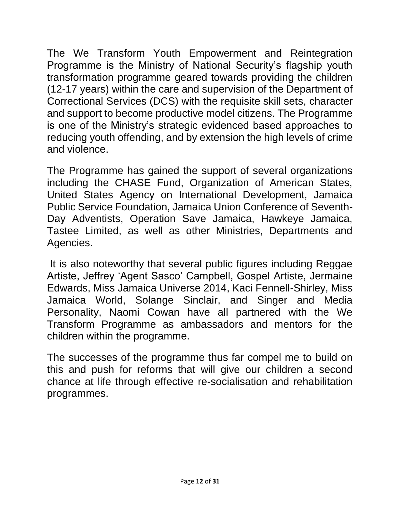The We Transform Youth Empowerment and Reintegration Programme is the Ministry of National Security's flagship youth transformation programme geared towards providing the children (12-17 years) within the care and supervision of the Department of Correctional Services (DCS) with the requisite skill sets, character and support to become productive model citizens. The Programme is one of the Ministry's strategic evidenced based approaches to reducing youth offending, and by extension the high levels of crime and violence.

The Programme has gained the support of several organizations including the CHASE Fund, Organization of American States, United States Agency on International Development, Jamaica Public Service Foundation, Jamaica Union Conference of Seventh-Day Adventists, Operation Save Jamaica, Hawkeye Jamaica, Tastee Limited, as well as other Ministries, Departments and Agencies.

It is also noteworthy that several public figures including Reggae Artiste, Jeffrey 'Agent Sasco' Campbell, Gospel Artiste, Jermaine Edwards, Miss Jamaica Universe 2014, Kaci Fennell-Shirley, Miss Jamaica World, Solange Sinclair, and Singer and Media Personality, Naomi Cowan have all partnered with the We Transform Programme as ambassadors and mentors for the children within the programme.

The successes of the programme thus far compel me to build on this and push for reforms that will give our children a second chance at life through effective re-socialisation and rehabilitation programmes.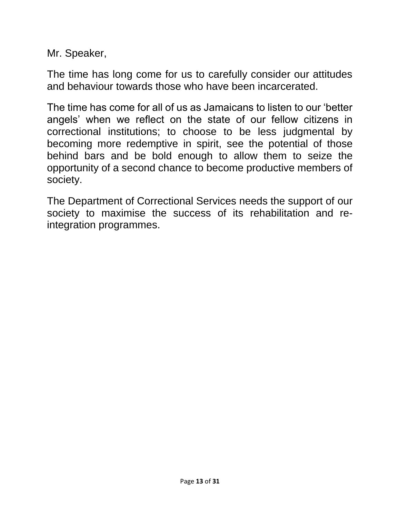Mr. Speaker,

The time has long come for us to carefully consider our attitudes and behaviour towards those who have been incarcerated.

The time has come for all of us as Jamaicans to listen to our 'better angels' when we reflect on the state of our fellow citizens in correctional institutions; to choose to be less judgmental by becoming more redemptive in spirit, see the potential of those behind bars and be bold enough to allow them to seize the opportunity of a second chance to become productive members of society.

The Department of Correctional Services needs the support of our society to maximise the success of its rehabilitation and reintegration programmes.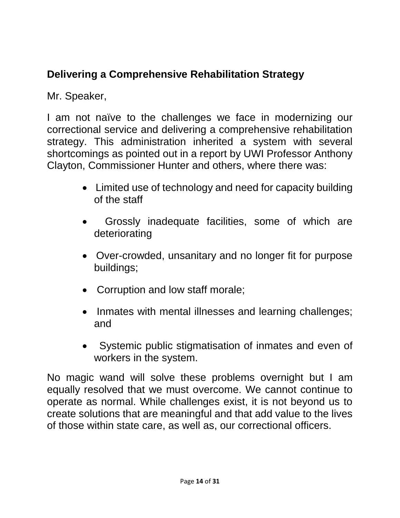# <span id="page-13-0"></span>**Delivering a Comprehensive Rehabilitation Strategy**

Mr. Speaker,

I am not naïve to the challenges we face in modernizing our correctional service and delivering a comprehensive rehabilitation strategy. This administration inherited a system with several shortcomings as pointed out in a report by UWI Professor Anthony Clayton, Commissioner Hunter and others, where there was:

- Limited use of technology and need for capacity building of the staff
- Grossly inadequate facilities, some of which are deteriorating
- Over-crowded, unsanitary and no longer fit for purpose buildings;
- Corruption and low staff morale;
- Inmates with mental illnesses and learning challenges; and
- Systemic public stigmatisation of inmates and even of workers in the system.

No magic wand will solve these problems overnight but I am equally resolved that we must overcome. We cannot continue to operate as normal. While challenges exist, it is not beyond us to create solutions that are meaningful and that add value to the lives of those within state care, as well as, our correctional officers.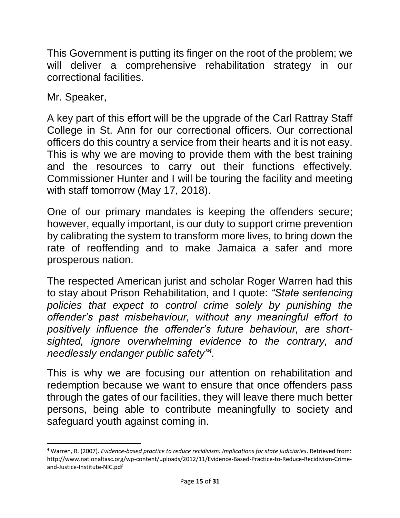This Government is putting its finger on the root of the problem; we will deliver a comprehensive rehabilitation strategy in our correctional facilities.

Mr. Speaker,

A key part of this effort will be the upgrade of the Carl Rattray Staff College in St. Ann for our correctional officers. Our correctional officers do this country a service from their hearts and it is not easy. This is why we are moving to provide them with the best training and the resources to carry out their functions effectively. Commissioner Hunter and I will be touring the facility and meeting with staff tomorrow (May 17, 2018).

One of our primary mandates is keeping the offenders secure; however, equally important, is our duty to support crime prevention by calibrating the system to transform more lives, to bring down the rate of reoffending and to make Jamaica a safer and more prosperous nation.

The respected American jurist and scholar Roger Warren had this to stay about Prison Rehabilitation, and I quote: *"State sentencing policies that expect to control crime solely by punishing the offender's past misbehaviour, without any meaningful effort to positively influence the offender's future behaviour, are shortsighted, ignore overwhelming evidence to the contrary, and needlessly endanger public safety"<sup>4</sup> .*

This is why we are focusing our attention on rehabilitation and redemption because we want to ensure that once offenders pass through the gates of our facilities, they will leave there much better persons, being able to contribute meaningfully to society and safeguard youth against coming in.

 $\overline{\phantom{a}}$ <sup>4</sup> Warren, R. (2007). *Evidence-based practice to reduce recidivism: Implications for state judiciaries*. Retrieved from: http://www.nationaltasc.org/wp-content/uploads/2012/11/Evidence-Based-Practice-to-Reduce-Recidivism-Crimeand-Justice-Institute-NIC.pdf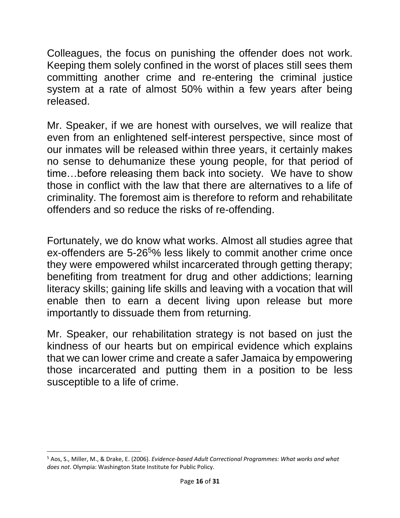Colleagues, the focus on punishing the offender does not work. Keeping them solely confined in the worst of places still sees them committing another crime and re-entering the criminal justice system at a rate of almost 50% within a few years after being released.

Mr. Speaker, if we are honest with ourselves, we will realize that even from an enlightened self-interest perspective, since most of our inmates will be released within three years, it certainly makes no sense to dehumanize these young people, for that period of time…before releasing them back into society. We have to show those in conflict with the law that there are alternatives to a life of criminality. The foremost aim is therefore to reform and rehabilitate offenders and so reduce the risks of re-offending.

Fortunately, we do know what works. Almost all studies agree that ex-offenders are 5-26<sup>5</sup>% less likely to commit another crime once they were empowered whilst incarcerated through getting therapy; benefiting from treatment for drug and other addictions; learning literacy skills; gaining life skills and leaving with a vocation that will enable then to earn a decent living upon release but more importantly to dissuade them from returning.

Mr. Speaker, our rehabilitation strategy is not based on just the kindness of our hearts but on empirical evidence which explains that we can lower crime and create a safer Jamaica by empowering those incarcerated and putting them in a position to be less susceptible to a life of crime.

l

<sup>5</sup> Aos, S., Miller, M., & Drake, E. (2006). *Evidence-based Adult Correctional Programmes: What works and what does not*. Olympia: Washington State Institute for Public Policy.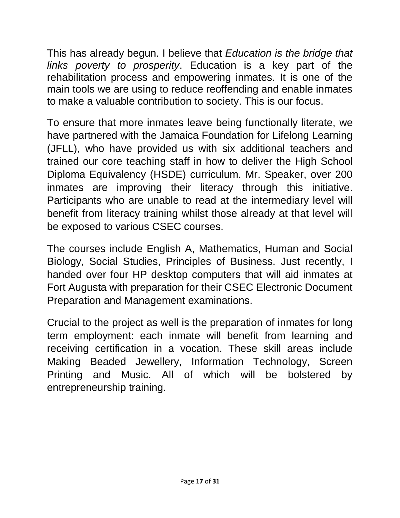This has already begun. I believe that *Education is the bridge that links poverty to prosperity*. Education is a key part of the rehabilitation process and empowering inmates. It is one of the main tools we are using to reduce reoffending and enable inmates to make a valuable contribution to society. This is our focus.

To ensure that more inmates leave being functionally literate, we have partnered with the Jamaica Foundation for Lifelong Learning (JFLL), who have provided us with six additional teachers and trained our core teaching staff in how to deliver the High School Diploma Equivalency (HSDE) curriculum. Mr. Speaker, over 200 inmates are improving their literacy through this initiative. Participants who are unable to read at the intermediary level will benefit from literacy training whilst those already at that level will be exposed to various CSEC courses.

The courses include English A, Mathematics, Human and Social Biology, Social Studies, Principles of Business. Just recently, I handed over four HP desktop computers that will aid inmates at Fort Augusta with preparation for their CSEC Electronic Document Preparation and Management examinations.

Crucial to the project as well is the preparation of inmates for long term employment: each inmate will benefit from learning and receiving certification in a vocation. These skill areas include Making Beaded Jewellery, Information Technology, Screen Printing and Music. All of which will be bolstered by entrepreneurship training.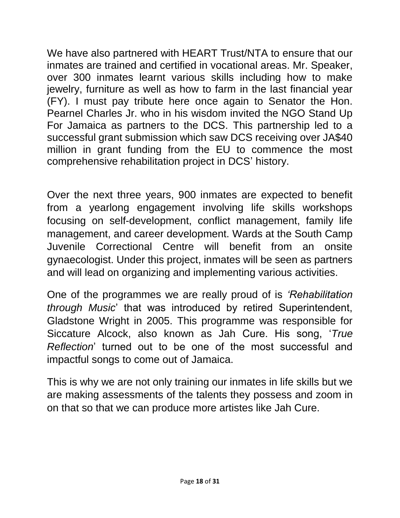We have also partnered with HEART Trust/NTA to ensure that our inmates are trained and certified in vocational areas. Mr. Speaker, over 300 inmates learnt various skills including how to make jewelry, furniture as well as how to farm in the last financial year (FY). I must pay tribute here once again to Senator the Hon. Pearnel Charles Jr. who in his wisdom invited the NGO Stand Up For Jamaica as partners to the DCS. This partnership led to a successful grant submission which saw DCS receiving over JA\$40 million in grant funding from the EU to commence the most comprehensive rehabilitation project in DCS' history.

Over the next three years, 900 inmates are expected to benefit from a yearlong engagement involving life skills workshops focusing on self-development, conflict management, family life management, and career development. Wards at the South Camp Juvenile Correctional Centre will benefit from an onsite gynaecologist. Under this project, inmates will be seen as partners and will lead on organizing and implementing various activities.

One of the programmes we are really proud of is *'Rehabilitation through Music*' that was introduced by retired Superintendent, Gladstone Wright in 2005. This programme was responsible for Siccature Alcock, also known as Jah Cure. His song, '*True Reflection*' turned out to be one of the most successful and impactful songs to come out of Jamaica.

This is why we are not only training our inmates in life skills but we are making assessments of the talents they possess and zoom in on that so that we can produce more artistes like Jah Cure.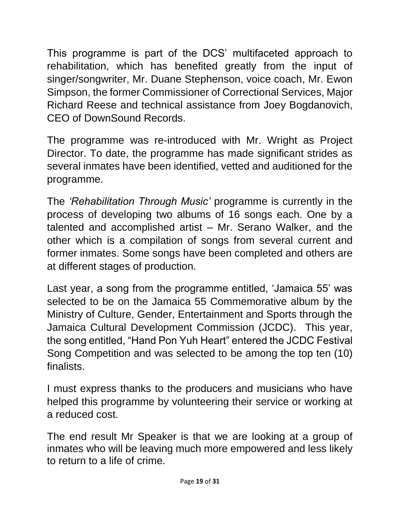This programme is part of the DCS' multifaceted approach to rehabilitation, which has benefited greatly from the input of singer/songwriter, Mr. Duane Stephenson, voice coach, Mr. Ewon Simpson, the former Commissioner of Correctional Services, Major Richard Reese and technical assistance from Joey Bogdanovich, CEO of DownSound Records.

The programme was re-introduced with Mr. Wright as Project Director. To date, the programme has made significant strides as several inmates have been identified, vetted and auditioned for the programme.

The *'Rehabilitation Through Music'* programme is currently in the process of developing two albums of 16 songs each. One by a talented and accomplished artist – Mr. Serano Walker, and the other which is a compilation of songs from several current and former inmates. Some songs have been completed and others are at different stages of production.

Last year, a song from the programme entitled, 'Jamaica 55' was selected to be on the Jamaica 55 Commemorative album by the Ministry of Culture, Gender, Entertainment and Sports through the Jamaica Cultural Development Commission (JCDC). This year, the song entitled, "Hand Pon Yuh Heart" entered the JCDC Festival Song Competition and was selected to be among the top ten (10) finalists.

I must express thanks to the producers and musicians who have helped this programme by volunteering their service or working at a reduced cost.

The end result Mr Speaker is that we are looking at a group of inmates who will be leaving much more empowered and less likely to return to a life of crime.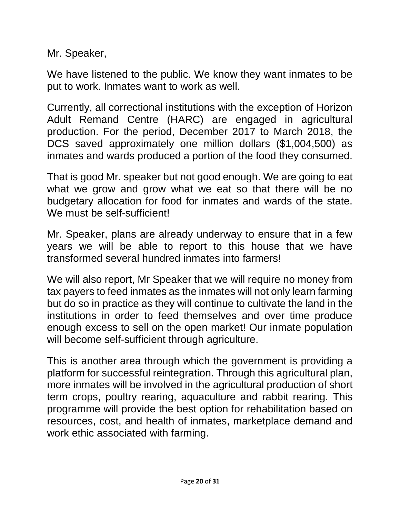Mr. Speaker,

We have listened to the public. We know they want inmates to be put to work. Inmates want to work as well.

Currently, all correctional institutions with the exception of Horizon Adult Remand Centre (HARC) are engaged in agricultural production. For the period, December 2017 to March 2018, the DCS saved approximately one million dollars (\$1,004,500) as inmates and wards produced a portion of the food they consumed.

That is good Mr. speaker but not good enough. We are going to eat what we grow and grow what we eat so that there will be no budgetary allocation for food for inmates and wards of the state. We must be self-sufficient!

Mr. Speaker, plans are already underway to ensure that in a few years we will be able to report to this house that we have transformed several hundred inmates into farmers!

We will also report, Mr Speaker that we will require no money from tax payers to feed inmates as the inmates will not only learn farming but do so in practice as they will continue to cultivate the land in the institutions in order to feed themselves and over time produce enough excess to sell on the open market! Our inmate population will become self-sufficient through agriculture.

This is another area through which the government is providing a platform for successful reintegration. Through this agricultural plan, more inmates will be involved in the agricultural production of short term crops, poultry rearing, aquaculture and rabbit rearing. This programme will provide the best option for rehabilitation based on resources, cost, and health of inmates, marketplace demand and work ethic associated with farming.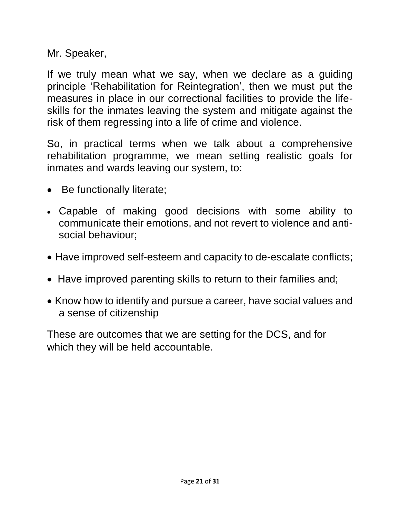Mr. Speaker,

If we truly mean what we say, when we declare as a guiding principle 'Rehabilitation for Reintegration', then we must put the measures in place in our correctional facilities to provide the lifeskills for the inmates leaving the system and mitigate against the risk of them regressing into a life of crime and violence.

So, in practical terms when we talk about a comprehensive rehabilitation programme, we mean setting realistic goals for inmates and wards leaving our system, to:

- Be functionally literate;
- Capable of making good decisions with some ability to communicate their emotions, and not revert to violence and antisocial behaviour;
- Have improved self-esteem and capacity to de-escalate conflicts;
- Have improved parenting skills to return to their families and;
- Know how to identify and pursue a career, have social values and a sense of citizenship

These are outcomes that we are setting for the DCS, and for which they will be held accountable.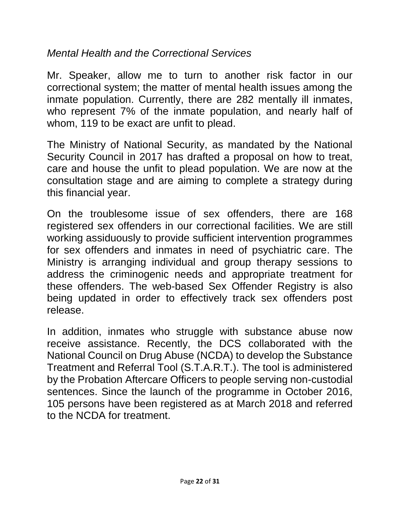#### *Mental Health and the Correctional Services*

Mr. Speaker, allow me to turn to another risk factor in our correctional system; the matter of mental health issues among the inmate population. Currently, there are 282 mentally ill inmates, who represent 7% of the inmate population, and nearly half of whom, 119 to be exact are unfit to plead.

The Ministry of National Security, as mandated by the National Security Council in 2017 has drafted a proposal on how to treat, care and house the unfit to plead population. We are now at the consultation stage and are aiming to complete a strategy during this financial year.

On the troublesome issue of sex offenders, there are 168 registered sex offenders in our correctional facilities. We are still working assiduously to provide sufficient intervention programmes for sex offenders and inmates in need of psychiatric care. The Ministry is arranging individual and group therapy sessions to address the criminogenic needs and appropriate treatment for these offenders. The web-based Sex Offender Registry is also being updated in order to effectively track sex offenders post release.

In addition, inmates who struggle with substance abuse now receive assistance. Recently, the DCS collaborated with the National Council on Drug Abuse (NCDA) to develop the Substance Treatment and Referral Tool (S.T.A.R.T.). The tool is administered by the Probation Aftercare Officers to people serving non-custodial sentences. Since the launch of the programme in October 2016, 105 persons have been registered as at March 2018 and referred to the NCDA for treatment.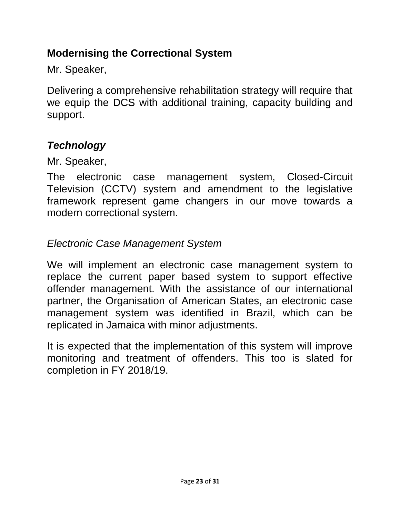## <span id="page-22-0"></span>**Modernising the Correctional System**

Mr. Speaker,

Delivering a comprehensive rehabilitation strategy will require that we equip the DCS with additional training, capacity building and support.

## *Technology*

Mr. Speaker,

The electronic case management system, Closed-Circuit Television (CCTV) system and amendment to the legislative framework represent game changers in our move towards a modern correctional system.

## *Electronic Case Management System*

We will implement an electronic case management system to replace the current paper based system to support effective offender management. With the assistance of our international partner, the Organisation of American States, an electronic case management system was identified in Brazil, which can be replicated in Jamaica with minor adjustments.

It is expected that the implementation of this system will improve monitoring and treatment of offenders. This too is slated for completion in FY 2018/19.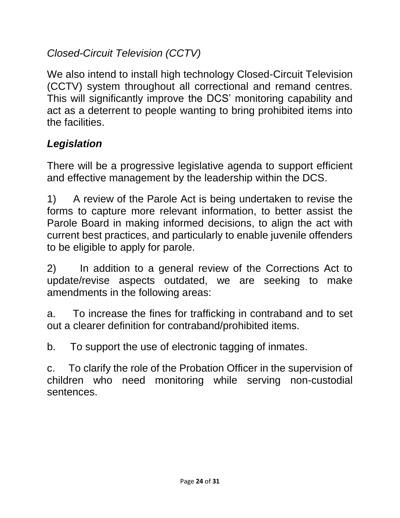## *Closed-Circuit Television (CCTV)*

We also intend to install high technology Closed-Circuit Television (CCTV) system throughout all correctional and remand centres. This will significantly improve the DCS' monitoring capability and act as a deterrent to people wanting to bring prohibited items into the facilities.

# *Legislation*

There will be a progressive legislative agenda to support efficient and effective management by the leadership within the DCS.

1) A review of the Parole Act is being undertaken to revise the forms to capture more relevant information, to better assist the Parole Board in making informed decisions, to align the act with current best practices, and particularly to enable juvenile offenders to be eligible to apply for parole.

2) In addition to a general review of the Corrections Act to update/revise aspects outdated, we are seeking to make amendments in the following areas:

a. To increase the fines for trafficking in contraband and to set out a clearer definition for contraband/prohibited items.

b. To support the use of electronic tagging of inmates.

c. To clarify the role of the Probation Officer in the supervision of children who need monitoring while serving non-custodial sentences.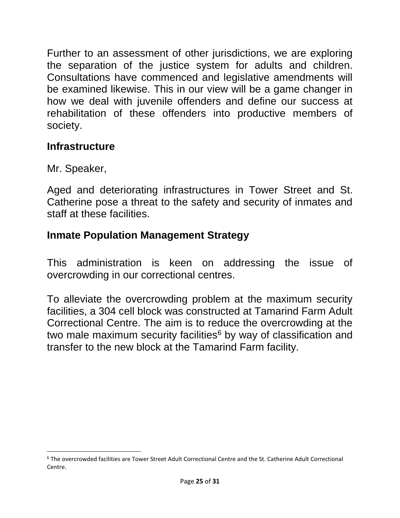Further to an assessment of other jurisdictions, we are exploring the separation of the justice system for adults and children. Consultations have commenced and legislative amendments will be examined likewise. This in our view will be a game changer in how we deal with juvenile offenders and define our success at rehabilitation of these offenders into productive members of society.

#### <span id="page-24-0"></span>**Infrastructure**

Mr. Speaker,

l

Aged and deteriorating infrastructures in Tower Street and St. Catherine pose a threat to the safety and security of inmates and staff at these facilities.

## <span id="page-24-1"></span>**Inmate Population Management Strategy**

This administration is keen on addressing the issue of overcrowding in our correctional centres.

To alleviate the overcrowding problem at the maximum security facilities, a 304 cell block was constructed at Tamarind Farm Adult Correctional Centre. The aim is to reduce the overcrowding at the two male maximum security facilities<sup> $6$ </sup> by way of classification and transfer to the new block at the Tamarind Farm facility.

<sup>6</sup> The overcrowded facilities are Tower Street Adult Correctional Centre and the St. Catherine Adult Correctional Centre.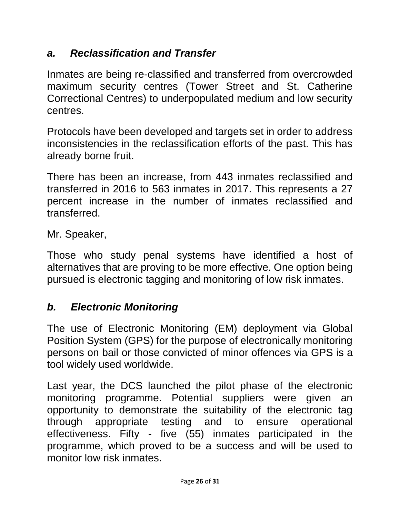#### *a. Reclassification and Transfer*

Inmates are being re-classified and transferred from overcrowded maximum security centres (Tower Street and St. Catherine Correctional Centres) to underpopulated medium and low security centres.

Protocols have been developed and targets set in order to address inconsistencies in the reclassification efforts of the past. This has already borne fruit.

There has been an increase, from 443 inmates reclassified and transferred in 2016 to 563 inmates in 2017. This represents a 27 percent increase in the number of inmates reclassified and transferred.

Mr. Speaker,

Those who study penal systems have identified a host of alternatives that are proving to be more effective. One option being pursued is electronic tagging and monitoring of low risk inmates.

# *b. Electronic Monitoring*

The use of Electronic Monitoring (EM) deployment via Global Position System (GPS) for the purpose of electronically monitoring persons on bail or those convicted of minor offences via GPS is a tool widely used worldwide.

Last year, the DCS launched the pilot phase of the electronic monitoring programme. Potential suppliers were given an opportunity to demonstrate the suitability of the electronic tag through appropriate testing and to ensure operational effectiveness. Fifty - five (55) inmates participated in the programme, which proved to be a success and will be used to monitor low risk inmates.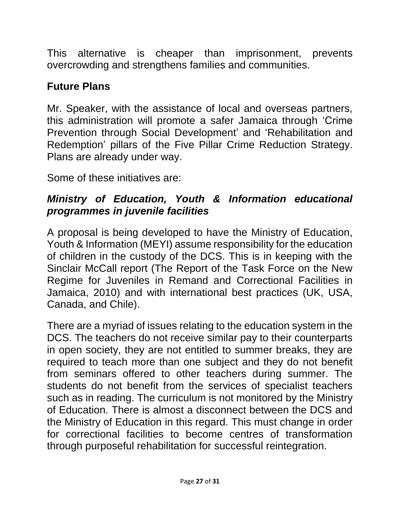This alternative is cheaper than imprisonment, prevents overcrowding and strengthens families and communities.

### <span id="page-26-0"></span>**Future Plans**

Mr. Speaker, with the assistance of local and overseas partners, this administration will promote a safer Jamaica through 'Crime Prevention through Social Development' and 'Rehabilitation and Redemption' pillars of the Five Pillar Crime Reduction Strategy. Plans are already under way.

Some of these initiatives are:

## *Ministry of Education, Youth & Information educational programmes in juvenile facilities*

A proposal is being developed to have the Ministry of Education, Youth & Information (MEYI) assume responsibility for the education of children in the custody of the DCS. This is in keeping with the Sinclair McCall report (The Report of the Task Force on the New Regime for Juveniles in Remand and Correctional Facilities in Jamaica, 2010) and with international best practices (UK, USA, Canada, and Chile).

There are a myriad of issues relating to the education system in the DCS. The teachers do not receive similar pay to their counterparts in open society, they are not entitled to summer breaks, they are required to teach more than one subject and they do not benefit from seminars offered to other teachers during summer. The students do not benefit from the services of specialist teachers such as in reading. The curriculum is not monitored by the Ministry of Education. There is almost a disconnect between the DCS and the Ministry of Education in this regard. This must change in order for correctional facilities to become centres of transformation through purposeful rehabilitation for successful reintegration.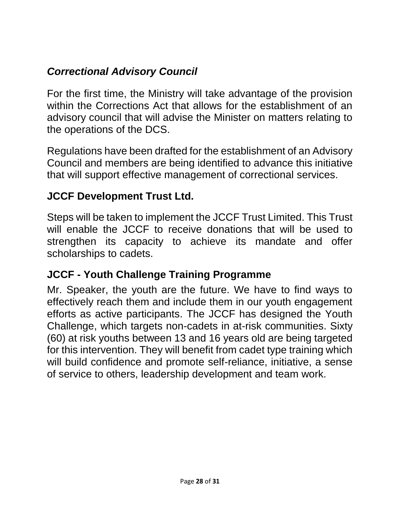## *Correctional Advisory Council*

For the first time, the Ministry will take advantage of the provision within the Corrections Act that allows for the establishment of an advisory council that will advise the Minister on matters relating to the operations of the DCS.

Regulations have been drafted for the establishment of an Advisory Council and members are being identified to advance this initiative that will support effective management of correctional services.

#### **JCCF Development Trust Ltd.**

Steps will be taken to implement the JCCF Trust Limited. This Trust will enable the JCCF to receive donations that will be used to strengthen its capacity to achieve its mandate and offer scholarships to cadets.

#### **JCCF - Youth Challenge Training Programme**

Mr. Speaker, the youth are the future. We have to find ways to effectively reach them and include them in our youth engagement efforts as active participants. The JCCF has designed the Youth Challenge, which targets non-cadets in at-risk communities. Sixty (60) at risk youths between 13 and 16 years old are being targeted for this intervention. They will benefit from cadet type training which will build confidence and promote self-reliance, initiative, a sense of service to others, leadership development and team work.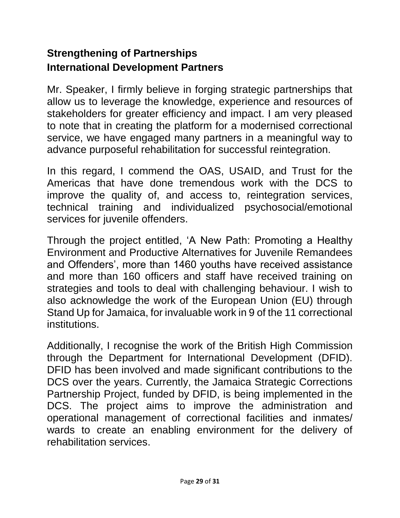## <span id="page-28-1"></span><span id="page-28-0"></span>**Strengthening of Partnerships International Development Partners**

Mr. Speaker, I firmly believe in forging strategic partnerships that allow us to leverage the knowledge, experience and resources of stakeholders for greater efficiency and impact. I am very pleased to note that in creating the platform for a modernised correctional service, we have engaged many partners in a meaningful way to advance purposeful rehabilitation for successful reintegration.

In this regard, I commend the OAS, USAID, and Trust for the Americas that have done tremendous work with the DCS to improve the quality of, and access to, reintegration services, technical training and individualized psychosocial/emotional services for juvenile offenders.

Through the project entitled, 'A New Path: Promoting a Healthy Environment and Productive Alternatives for Juvenile Remandees and Offenders', more than 1460 youths have received assistance and more than 160 officers and staff have received training on strategies and tools to deal with challenging behaviour. I wish to also acknowledge the work of the European Union (EU) through Stand Up for Jamaica, for invaluable work in 9 of the 11 correctional institutions.

Additionally, I recognise the work of the British High Commission through the Department for International Development (DFID). DFID has been involved and made significant contributions to the DCS over the years. Currently, the Jamaica Strategic Corrections Partnership Project, funded by DFID, is being implemented in the DCS. The project aims to improve the administration and operational management of correctional facilities and inmates/ wards to create an enabling environment for the delivery of rehabilitation services.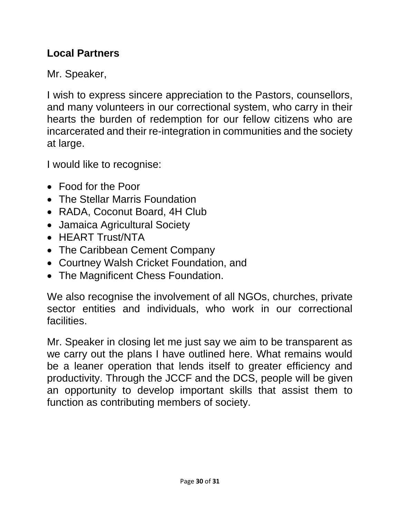### <span id="page-29-0"></span>**Local Partners**

Mr. Speaker,

I wish to express sincere appreciation to the Pastors, counsellors, and many volunteers in our correctional system, who carry in their hearts the burden of redemption for our fellow citizens who are incarcerated and their re-integration in communities and the society at large.

I would like to recognise:

- Food for the Poor
- The Stellar Marris Foundation
- RADA, Coconut Board, 4H Club
- Jamaica Agricultural Society
- HEART Trust/NTA
- The Caribbean Cement Company
- Courtney Walsh Cricket Foundation, and
- The Magnificent Chess Foundation.

We also recognise the involvement of all NGOs, churches, private sector entities and individuals, who work in our correctional facilities.

Mr. Speaker in closing let me just say we aim to be transparent as we carry out the plans I have outlined here. What remains would be a leaner operation that lends itself to greater efficiency and productivity. Through the JCCF and the DCS, people will be given an opportunity to develop important skills that assist them to function as contributing members of society.